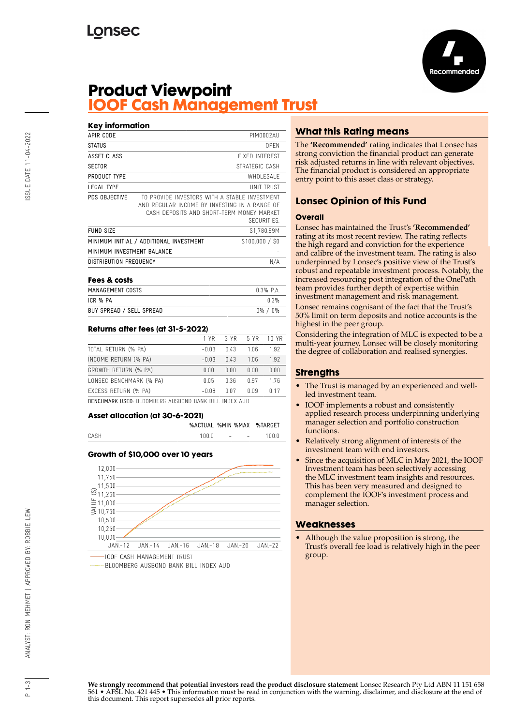

## **Product Viewpoint IOOF Cash Management Trust**

| <b>Key information</b>     |                                                                                                                                             |                       |  |
|----------------------------|---------------------------------------------------------------------------------------------------------------------------------------------|-----------------------|--|
| APIR CODE                  |                                                                                                                                             | PIM0002AU             |  |
| <b>STATUS</b>              |                                                                                                                                             | 0PFN                  |  |
| ASSET CLASS                |                                                                                                                                             | <b>FIXED INTEREST</b> |  |
| <b>SECTOR</b>              |                                                                                                                                             | STRATEGIC CASH        |  |
| PRODUCT TYPE               |                                                                                                                                             | WHOLESALE             |  |
| LEGAL TYPE                 | UNIT TRUST                                                                                                                                  |                       |  |
| PDS OBJECTIVE              | TO PROVIDE INVESTORS WITH A STABLE INVESTMENT<br>AND REGULAR INCOME BY INVESTING IN A RANGE OF<br>CASH DEPOSITS AND SHORT-TERM MONEY MARKET | SECURITIES.           |  |
| <b>FUND SIZE</b>           |                                                                                                                                             | \$1,780.99M           |  |
|                            | MINIMUM INITIAL / ADDITIONAL INVESTMENT                                                                                                     | \$100,000 / \$0       |  |
| MINIMUM INVESTMENT BALANCE |                                                                                                                                             |                       |  |
| DISTRIBUTION FREQUENCY     |                                                                                                                                             | N/A                   |  |
| Fees & costs               |                                                                                                                                             |                       |  |
| MANACEMENT COSTS           |                                                                                                                                             | U 30 D V              |  |

| 1 GGJ QK 40313           |               |
|--------------------------|---------------|
| MANAGEMENT COSTS         | $0.3\%$ P.A.  |
| ICR % PA                 | በ 3%          |
| BUY SPREAD / SELL SPREAD | $0\%$ / $0\%$ |

## **Returns after fees (at 31-5-2022)**

|                         | 1 YR    | 3 YR 5 YR |                 | 10 YR |
|-------------------------|---------|-----------|-----------------|-------|
| TOTAL RETURN (% PA)     | $-0.03$ | በ 43      | 1 በ6            | 1.92  |
| INCOME RETURN (% PA)    | $-0.03$ | 0.43      | 1 <sub>06</sub> | 1.92  |
| GROWTH RETURN (% PA)    | 0.00    | 0.00      | 0.00            | 0.00  |
| LONSEC BENCHMARK (% PA) | 0.05    | በ 36      | በ 97            | 176   |
| EXCESS RETURN (% PA)    | $-0.08$ | በ በ7      |                 | n 17  |

BENCHMARK USED: BLOOMBERG AUSBOND BANK BILL INDEX AUD

#### **Asset allocation (at 30-6-2021)**

|         | 1በበ በ                     |
|---------|---------------------------|
| 1 በ በ በ | the state of the state of |

### **Growth of \$10,000 over 10 years**



BLOOMBERG AUSBOND BANK BILL INDEX AUD

## **What this Rating means**

The **'Recommended'** rating indicates that Lonsec has strong conviction the financial product can generate risk adjusted returns in line with relevant objectives. The financial product is considered an appropriate entry point to this asset class or strategy.

## **Lonsec Opinion of this Fund**

#### **Overall**

Lonsec has maintained the Trust's **'Recommended'** rating at its most recent review. The rating reflects the high regard and conviction for the experience and calibre of the investment team. The rating is also underpinned by Lonsec's positive view of the Trust's robust and repeatable investment process. Notably, the increased resourcing post integration of the OnePath team provides further depth of expertise within investment management and risk management. Lonsec remains cognisant of the fact that the Trust's 50% limit on term deposits and notice accounts is the highest in the peer group.

Considering the integration of MLC is expected to be a multi-year journey, Lonsec will be closely monitoring the degree of collaboration and realised synergies.

## **Strengths**

- The Trust is managed by an experienced and wellled investment team.
- IOOF implements a robust and consistently applied research process underpinning underlying manager selection and portfolio construction functions.
- Relatively strong alignment of interests of the investment team with end investors.
- Since the acquisition of MLC in May 2021, the IOOF Investment team has been selectively accessing the MLC investment team insights and resources. This has been very measured and designed to complement the IOOF's investment process and manager selection.

### **Weaknesses**

• Although the value proposition is strong, the Trust's overall fee load is relatively high in the peer group.

**We strongly recommend that potential investors read the product disclosure statement** Lonsec Research Pty Ltd ABN 11 151 658 561 • AFSL No. 421 445 • This information must be read in conjunction with the warning, disclaimer, and disclosure at the end of this document. This report supersedes all prior reports.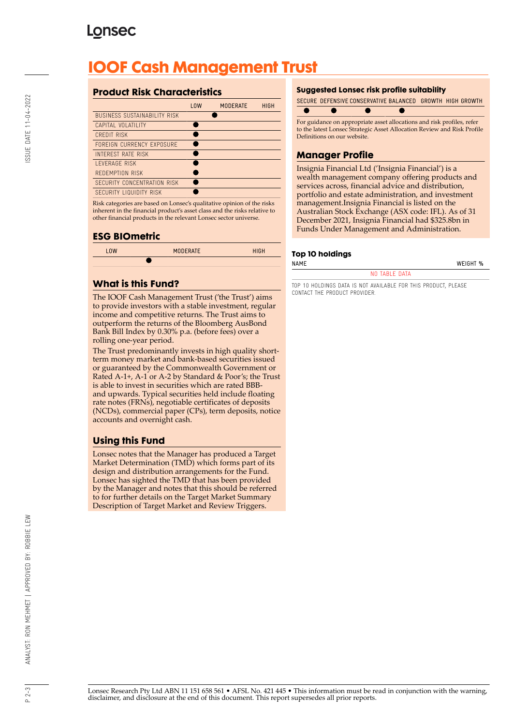# **Lonsec**

# **IOOF Cash Management Trust**

## **Product Risk Characteristics**

|                                     | <b>LOW</b> | <b>MODERATE</b> | <b>HIGH</b> |
|-------------------------------------|------------|-----------------|-------------|
| <b>BUSINESS SUSTAINABILITY RISK</b> |            |                 |             |
| CAPITAL VOLATILITY                  |            |                 |             |
| CREDIT RISK                         |            |                 |             |
| FOREIGN CURRENCY EXPOSURE           |            |                 |             |
| INTEREST RATE RISK                  |            |                 |             |
| <b>I FVERAGE RISK</b>               |            |                 |             |
| REDEMPTION RISK                     |            |                 |             |
| SECURITY CONCENTRATION RISK         |            |                 |             |
| <b>SECURITY LIQUIDITY RISK</b>      |            |                 |             |

Risk categories are based on Lonsec's qualitative opinion of the risks inherent in the financial product's asset class and the risks relative to other financial products in the relevant Lonsec sector universe.

## **ESG BIOmetric**

| <b>LOW</b> | <b>MODERATE</b> | <b>HIGH</b> |
|------------|-----------------|-------------|
|            |                 |             |
|            |                 |             |

## **What is this Fund?**

The IOOF Cash Management Trust ('the Trust') aims to provide investors with a stable investment, regular income and competitive returns. The Trust aims to outperform the returns of the Bloomberg AusBond Bank Bill Index by 0.30% p.a. (before fees) over a rolling one-year period.

The Trust predominantly invests in high quality shortterm money market and bank-based securities issued or guaranteed by the Commonwealth Government or Rated A-1+, A-1 or A-2 by Standard & Poor's; the Trust is able to invest in securities which are rated BBBand upwards. Typical securities held include floating rate notes (FRNs), negotiable certificates of deposits (NCDs), commercial paper (CPs), term deposits, notice accounts and overnight cash.

## **Using this Fund**

Lonsec notes that the Manager has produced a Target Market Determination (TMD) which forms part of its design and distribution arrangements for the Fund. Lonsec has sighted the TMD that has been provided by the Manager and notes that this should be referred to for further details on the Target Market Summary Description of Target Market and Review Triggers.

### **Suggested Lonsec risk profile suitability**

SECURE DEFENSIVE CONSERVATIVE BALANCED GROWTH HIGH GROWTH



to the latest Lonsec Strategic Asset Allocation Review and Risk Profile Definitions on our website.

## **Manager Profile**

Insignia Financial Ltd ('Insignia Financial') is a wealth management company offering products and services across, financial advice and distribution, portfolio and estate administration, and investment management.Insignia Financial is listed on the Australian Stock Exchange (ASX code: IFL). As of 31 December 2021, Insignia Financial had \$325.8bn in Funds Under Management and Administration.

### **Top 10 holdings**

NAME WEIGHT %

#### NO TARLE DATA

TOP 10 HOLDINGS DATA IS NOT AVAILABLE FOR THIS PRODUCT, PLEASE CONTACT THE PRODUCT PROVIDER.